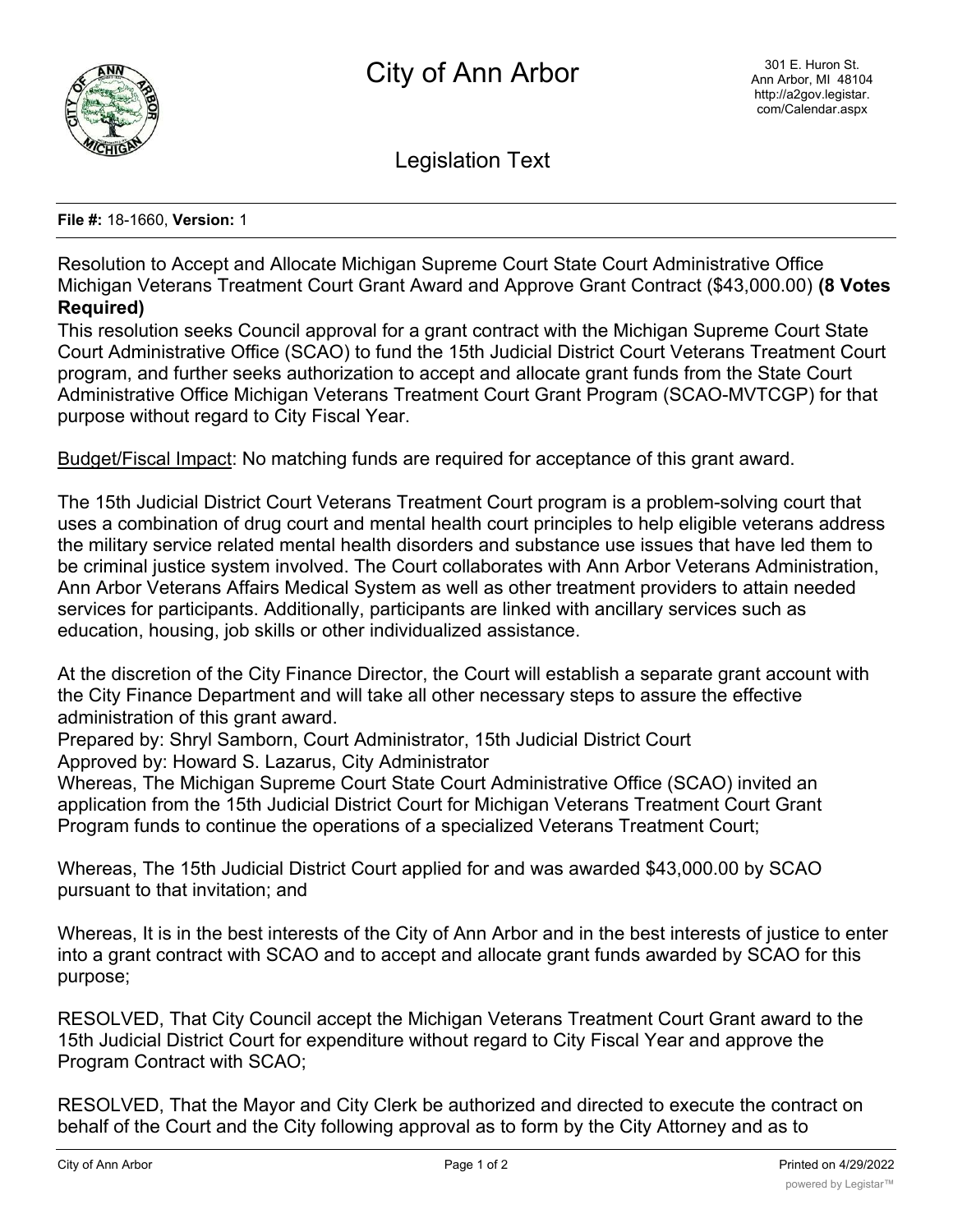

Legislation Text

## **File #:** 18-1660, **Version:** 1

Resolution to Accept and Allocate Michigan Supreme Court State Court Administrative Office Michigan Veterans Treatment Court Grant Award and Approve Grant Contract (\$43,000.00) **(8 Votes Required)**

This resolution seeks Council approval for a grant contract with the Michigan Supreme Court State Court Administrative Office (SCAO) to fund the 15th Judicial District Court Veterans Treatment Court program, and further seeks authorization to accept and allocate grant funds from the State Court Administrative Office Michigan Veterans Treatment Court Grant Program (SCAO-MVTCGP) for that purpose without regard to City Fiscal Year.

Budget/Fiscal Impact: No matching funds are required for acceptance of this grant award.

The 15th Judicial District Court Veterans Treatment Court program is a problem-solving court that uses a combination of drug court and mental health court principles to help eligible veterans address the military service related mental health disorders and substance use issues that have led them to be criminal justice system involved. The Court collaborates with Ann Arbor Veterans Administration, Ann Arbor Veterans Affairs Medical System as well as other treatment providers to attain needed services for participants. Additionally, participants are linked with ancillary services such as education, housing, job skills or other individualized assistance.

At the discretion of the City Finance Director, the Court will establish a separate grant account with the City Finance Department and will take all other necessary steps to assure the effective administration of this grant award.

Prepared by: Shryl Samborn, Court Administrator, 15th Judicial District Court Approved by: Howard S. Lazarus, City Administrator

Whereas, The Michigan Supreme Court State Court Administrative Office (SCAO) invited an application from the 15th Judicial District Court for Michigan Veterans Treatment Court Grant Program funds to continue the operations of a specialized Veterans Treatment Court;

Whereas, The 15th Judicial District Court applied for and was awarded \$43,000.00 by SCAO pursuant to that invitation; and

Whereas, It is in the best interests of the City of Ann Arbor and in the best interests of justice to enter into a grant contract with SCAO and to accept and allocate grant funds awarded by SCAO for this purpose;

RESOLVED, That City Council accept the Michigan Veterans Treatment Court Grant award to the 15th Judicial District Court for expenditure without regard to City Fiscal Year and approve the Program Contract with SCAO;

RESOLVED, That the Mayor and City Clerk be authorized and directed to execute the contract on behalf of the Court and the City following approval as to form by the City Attorney and as to